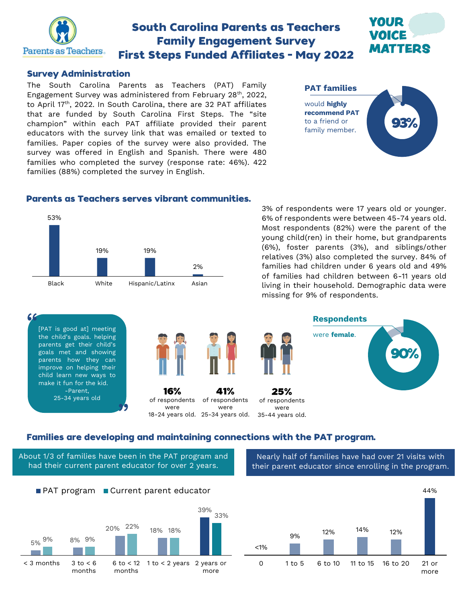

# **South Carolina Parents as Teachers Family Engagement Survey First Steps Funded Affiliates - May 2022**

#### **Survey Administration**

The South Carolina Parents as Teachers (PAT) Family Engagement Survey was administered from February 28th, 2022, to April 17<sup>th</sup>, 2022. In South Carolina, there are 32 PAT affiliates that are funded by South Carolina First Steps. The "site champion" within each PAT affiliate provided their parent educators with the survey link that was emailed or texted to families. Paper copies of the survey were also provided. The survey was offered in English and Spanish. There were 480 families who completed the survey (response rate: 46%). 422 families (88%) completed the survey in English.

**PAT families** would **highly recommend PAT** to a friend or family member.

ZOUD

MATTERS

#### **Parents as Teachers serves vibrant communities.**



3% of respondents were 17 years old or younger. 6% of respondents were between 45-74 years old. Most respondents (82%) were the parent of the young child(ren) in their home, but grandparents (6%), foster parents (3%), and siblings/other relatives (3%) also completed the survey. 84% of families had children under 6 years old and 49% of families had children between 6-11 years old living in their household. Demographic data were missing for 9% of respondents.



#### Families are developing and maintaining connections with the PAT program.

About 1/3 of families have been in the PAT program and had their current parent educator for over 2 years.

**PAT program Current parent educator** 

20% 22%

6 to < 12 months

18% 18%

5% 8% 9% 9%

 $< 3$  months  $3$  to  $< 6$ 

months

Nearly half of families have had over 21 visits with their parent educator since enrolling in the program.